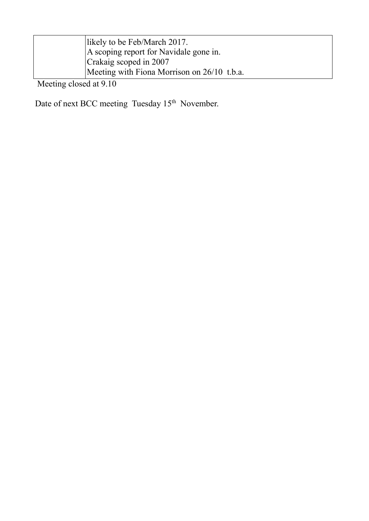| likely to be Feb/March 2017.                |
|---------------------------------------------|
| A scoping report for Navidale gone in.      |
| Crakaig scoped in 2007                      |
| Meeting with Fiona Morrison on 26/10 t.b.a. |

Meeting closed at 9.10

Date of next BCC meeting Tuesday 15<sup>th</sup> November.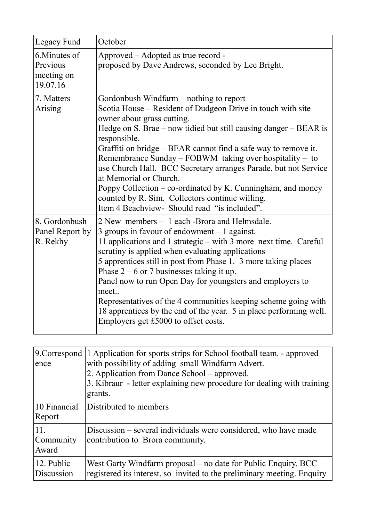| Legacy Fund                                         | October                                                                                                                                                                                                                                                                                                                                                                                                                                                                                                                                                                                                                    |
|-----------------------------------------------------|----------------------------------------------------------------------------------------------------------------------------------------------------------------------------------------------------------------------------------------------------------------------------------------------------------------------------------------------------------------------------------------------------------------------------------------------------------------------------------------------------------------------------------------------------------------------------------------------------------------------------|
| 6. Minutes of<br>Previous<br>meeting on<br>19.07.16 | Approved - Adopted as true record -<br>proposed by Dave Andrews, seconded by Lee Bright.                                                                                                                                                                                                                                                                                                                                                                                                                                                                                                                                   |
| 7. Matters<br>Arising                               | Gordonbush Windfarm – nothing to report<br>Scotia House – Resident of Dudgeon Drive in touch with site<br>owner about grass cutting.<br>Hedge on S. Brae $-$ now tidied but still causing danger $-$ BEAR is<br>responsible.<br>Graffiti on bridge – BEAR cannot find a safe way to remove it.<br>Remembrance Sunday – FOBWM taking over hospitality – to<br>use Church Hall. BCC Secretary arranges Parade, but not Service<br>at Memorial or Church.<br>Poppy Collection $-$ co-ordinated by K. Cunningham, and money<br>counted by R. Sim. Collectors continue willing.<br>Item 4 Beachview- Should read "is included". |
| 8. Gordonbush<br>Panel Report by<br>R. Rekhy        | 2 New members – 1 each -Brora and Helmsdale.<br>3 groups in favour of endowment $-1$ against.<br>11 applications and 1 strategic – with 3 more next time. Careful<br>scrutiny is applied when evaluating applications<br>5 apprentices still in post from Phase 1. 3 more taking places<br>Phase $2 - 6$ or 7 businesses taking it up.<br>Panel now to run Open Day for youngsters and employers to<br>meet<br>Representatives of the 4 communities keeping scheme going with<br>18 apprentices by the end of the year. 5 in place performing well.<br>Employers get £5000 to offset costs.                                |

| 9. Correspond<br>ence     | 1 Application for sports strips for School football team. - approved<br>with possibility of adding small Windfarm Advert.<br>2. Application from Dance School – approved.<br>3. Kibraur - letter explaining new procedure for dealing with training<br>grants. |
|---------------------------|----------------------------------------------------------------------------------------------------------------------------------------------------------------------------------------------------------------------------------------------------------------|
| 10 Financial<br>Report    | Distributed to members                                                                                                                                                                                                                                         |
| 11.<br>Community<br>Award | Discussion – several individuals were considered, who have made<br>contribution to Brora community.                                                                                                                                                            |
| 12. Public<br>Discussion  | West Garty Windfarm proposal – no date for Public Enquiry. BCC<br>registered its interest, so invited to the preliminary meeting. Enquiry                                                                                                                      |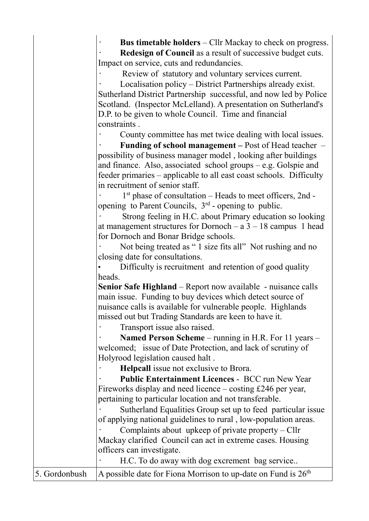|               | <b>Bus timetable holders</b> – Cllr Mackay to check on progress.      |
|---------------|-----------------------------------------------------------------------|
|               | <b>Redesign of Council as a result of successive budget cuts.</b>     |
|               | Impact on service, cuts and redundancies.                             |
|               | Review of statutory and voluntary services current.                   |
|               | Localisation policy – District Partnerships already exist.            |
|               | Sutherland District Partnership successful, and now led by Police     |
|               | Scotland. (Inspector McLelland). A presentation on Sutherland's       |
|               | D.P. to be given to whole Council. Time and financial                 |
|               | constraints.                                                          |
|               | County committee has met twice dealing with local issues.             |
|               | <b>Funding of school management – Post of Head teacher –</b>          |
|               | possibility of business manager model, looking after buildings        |
|               | and finance. Also, associated school groups $-$ e.g. Golspie and      |
|               | feeder primaries – applicable to all east coast schools. Difficulty   |
|               | in recruitment of senior staff.                                       |
|               | 1 <sup>st</sup> phase of consultation – Heads to meet officers, 2nd - |
|               | opening to Parent Councils, 3 <sup>rd</sup> - opening to public.      |
|               | Strong feeling in H.C. about Primary education so looking             |
|               | at management structures for Dornoch $- a 3 - 18$ campus 1 head       |
|               | for Dornoch and Bonar Bridge schools.                                 |
|               | Not being treated as "1 size fits all" Not rushing and no             |
|               | closing date for consultations.                                       |
|               | Difficulty is recruitment and retention of good quality               |
|               | heads.                                                                |
|               | Senior Safe Highland – Report now available - nuisance calls          |
|               | main issue. Funding to buy devices which detect source of             |
|               | nuisance calls is available for vulnerable people. Highlands          |
|               | missed out but Trading Standards are keen to have it.                 |
|               | Transport issue also raised.                                          |
|               | Named Person Scheme – running in H.R. For 11 years –                  |
|               | welcomed; issue of Date Protection, and lack of scrutiny of           |
|               | Holyrood legislation caused halt.                                     |
|               | <b>Helpcall</b> issue not exclusive to Brora.                         |
|               | <b>Public Entertainment Licences - BCC run New Year</b>               |
|               | Fireworks display and need licence $-$ costing £246 per year,         |
|               | pertaining to particular location and not transferable.               |
|               | Sutherland Equalities Group set up to feed particular issue           |
|               | of applying national guidelines to rural, low-population areas.       |
|               | Complaints about upkeep of private property – Cllr                    |
|               | Mackay clarified Council can act in extreme cases. Housing            |
|               | officers can investigate.                                             |
|               | H.C. To do away with dog excrement bag service                        |
|               |                                                                       |
| 5. Gordonbush | A possible date for Fiona Morrison to up-date on Fund is $26th$       |